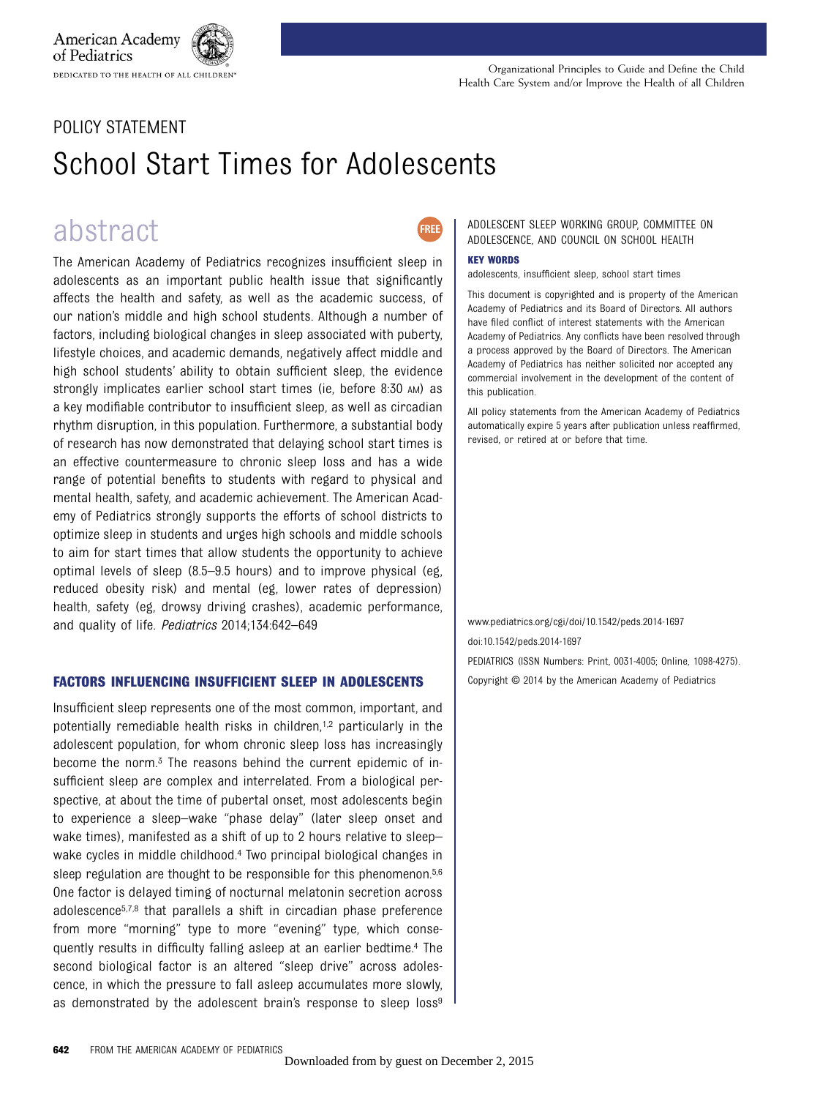# POLICY STATEMENT

DEDICATED TO THE HEALTH OF ALL CHILDREN"

American Academy of Pediatrics

# School Start Times for Adolescents

# abstract

The American Academy of Pediatrics recognizes insufficient sleep in adolescents as an important public health issue that significantly affects the health and safety, as well as the academic success, of our nation's middle and high school students. Although a number of factors, including biological changes in sleep associated with puberty, lifestyle choices, and academic demands, negatively affect middle and high school students' ability to obtain sufficient sleep, the evidence strongly implicates earlier school start times (ie, before 8:30 AM) as a key modifiable contributor to insufficient sleep, as well as circadian rhythm disruption, in this population. Furthermore, a substantial body of research has now demonstrated that delaying school start times is an effective countermeasure to chronic sleep loss and has a wide range of potential benefits to students with regard to physical and mental health, safety, and academic achievement. The American Academy of Pediatrics strongly supports the efforts of school districts to optimize sleep in students and urges high schools and middle schools to aim for start times that allow students the opportunity to achieve optimal levels of sleep (8.5–9.5 hours) and to improve physical (eg, reduced obesity risk) and mental (eg, lower rates of depression) health, safety (eg, drowsy driving crashes), academic performance, and quality of life. Pediatrics 2014;134:642–649

### FACTORS INFLUENCING INSUFFICIENT SLEEP IN ADOLESCENTS

Insufficient sleep represents one of the most common, important, and potentially remediable health risks in children,<sup>1,2</sup> particularly in the adolescent population, for whom chronic sleep loss has increasingly become the norm.3 The reasons behind the current epidemic of insufficient sleep are complex and interrelated. From a biological perspective, at about the time of pubertal onset, most adolescents begin to experience a sleep–wake "phase delay" (later sleep onset and wake times), manifested as a shift of up to 2 hours relative to sleep– wake cycles in middle childhood.4 Two principal biological changes in sleep regulation are thought to be responsible for this phenomenon.<sup>5,6</sup> One factor is delayed timing of nocturnal melatonin secretion across adolescence5,7,8 that parallels a shift in circadian phase preference from more "morning" type to more "evening" type, which consequently results in difficulty falling asleep at an earlier bedtime.4 The second biological factor is an altered "sleep drive" across adolescence, in which the pressure to fall asleep accumulates more slowly, as demonstrated by the adolescent brain's response to sleep loss<sup>9</sup>

#### ADOLESCENT SLEEP WORKING GROUP, COMMITTEE ON ADOLESCENCE, AND COUNCIL ON SCHOOL HEALTH

#### KEY WORDS

**FREE** 

adolescents, insufficient sleep, school start times

This document is copyrighted and is property of the American Academy of Pediatrics and its Board of Directors. All authors have filed conflict of interest statements with the American Academy of Pediatrics. Any conflicts have been resolved through a process approved by the Board of Directors. The American Academy of Pediatrics has neither solicited nor accepted any commercial involvement in the development of the content of this publication.

All policy statements from the American Academy of Pediatrics automatically expire 5 years after publication unless reaffirmed, revised, or retired at or before that time.

www.pediatrics.org/cgi/doi/10.1542/peds.2014-1697 doi:10.1542/peds.2014-1697

PEDIATRICS (ISSN Numbers: Print, 0031-4005; Online, 1098-4275). Copyright © 2014 by the American Academy of Pediatrics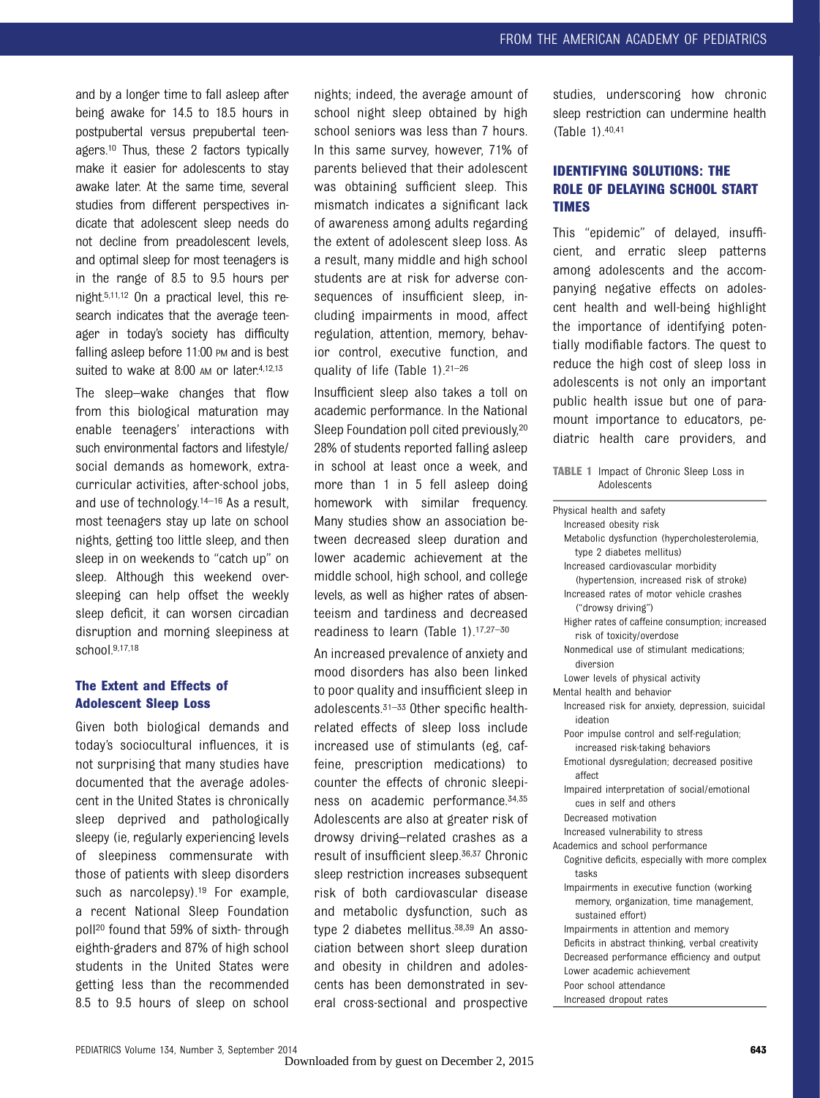and by a longer time to fall asleep after being awake for 14.5 to 18.5 hours in postpubertal versus prepubertal teenagers.10 Thus, these 2 factors typically make it easier for adolescents to stay awake later. At the same time, several studies from different perspectives indicate that adolescent sleep needs do not decline from preadolescent levels, and optimal sleep for most teenagers is in the range of 8.5 to 9.5 hours per night.5,11,12 On a practical level, this research indicates that the average teenager in today's society has difficulty falling asleep before 11:00 PM and is best suited to wake at 8:00 AM or later.4,12,13

The sleep–wake changes that flow from this biological maturation may enable teenagers' interactions with such environmental factors and lifestyle/ social demands as homework, extracurricular activities, after-school jobs, and use of technology.14–<sup>16</sup> As a result, most teenagers stay up late on school nights, getting too little sleep, and then sleep in on weekends to "catch up" on sleep. Although this weekend oversleeping can help offset the weekly sleep deficit, it can worsen circadian disruption and morning sleepiness at school.9,17,18

## The Extent and Effects of Adolescent Sleep Loss

Given both biological demands and today's sociocultural influences, it is not surprising that many studies have documented that the average adolescent in the United States is chronically sleep deprived and pathologically sleepy (ie, regularly experiencing levels of sleepiness commensurate with those of patients with sleep disorders such as narcolepsy).<sup>19</sup> For example, a recent National Sleep Foundation poll20 found that 59% of sixth- through eighth-graders and 87% of high school students in the United States were getting less than the recommended 8.5 to 9.5 hours of sleep on school

nights; indeed, the average amount of school night sleep obtained by high school seniors was less than 7 hours. In this same survey, however, 71% of parents believed that their adolescent was obtaining sufficient sleep. This mismatch indicates a significant lack of awareness among adults regarding the extent of adolescent sleep loss. As a result, many middle and high school students are at risk for adverse consequences of insufficient sleep, including impairments in mood, affect regulation, attention, memory, behavior control, executive function, and quality of life (Table 1).21–<sup>26</sup>

Insufficient sleep also takes a toll on academic performance. In the National Sleep Foundation poll cited previously,20 28% of students reported falling asleep in school at least once a week, and more than 1 in 5 fell asleep doing homework with similar frequency. Many studies show an association between decreased sleep duration and lower academic achievement at the middle school, high school, and college levels, as well as higher rates of absenteeism and tardiness and decreased readiness to learn (Table 1).17,27–<sup>30</sup>

An increased prevalence of anxiety and mood disorders has also been linked to poor quality and insufficient sleep in adolescents.31–<sup>33</sup> Other specific healthrelated effects of sleep loss include increased use of stimulants (eg, caffeine, prescription medications) to counter the effects of chronic sleepiness on academic performance.34,35 Adolescents are also at greater risk of drowsy driving–related crashes as a result of insufficient sleep.36,37 Chronic sleep restriction increases subsequent risk of both cardiovascular disease and metabolic dysfunction, such as type 2 diabetes mellitus.38,39 An association between short sleep duration and obesity in children and adolescents has been demonstrated in several cross-sectional and prospective studies, underscoring how chronic sleep restriction can undermine health (Table 1).40,41

# IDENTIFYING SOLUTIONS: THE ROLE OF DELAYING SCHOOL START TIMES

This "epidemic" of delayed, insufficient, and erratic sleep patterns among adolescents and the accompanying negative effects on adolescent health and well-being highlight the importance of identifying potentially modifiable factors. The quest to reduce the high cost of sleep loss in adolescents is not only an important public health issue but one of paramount importance to educators, pediatric health care providers, and

TABLE 1 Impact of Chronic Sleep Loss in Adolescents

Physical health and safety Increased obesity risk Metabolic dysfunction (hypercholesterolemia, type 2 diabetes mellitus) Increased cardiovascular morbidity (hypertension, increased risk of stroke) Increased rates of motor vehicle crashes ("drowsy driving") Higher rates of caffeine consumption; increased risk of toxicity/overdose Nonmedical use of stimulant medications; diversion Lower levels of physical activity Mental health and behavior Increased risk for anxiety, depression, suicidal ideation Poor impulse control and self-regulation; increased risk-taking behaviors Emotional dysregulation; decreased positive affect Impaired interpretation of social/emotional cues in self and others Decreased motivation Increased vulnerability to stress Academics and school performance Cognitive deficits, especially with more complex tasks Impairments in executive function (working memory, organization, time management, sustained effort) Impairments in attention and memory Deficits in abstract thinking, verbal creativity Decreased performance efficiency and output Lower academic achievement Poor school attendance Increased dropout rates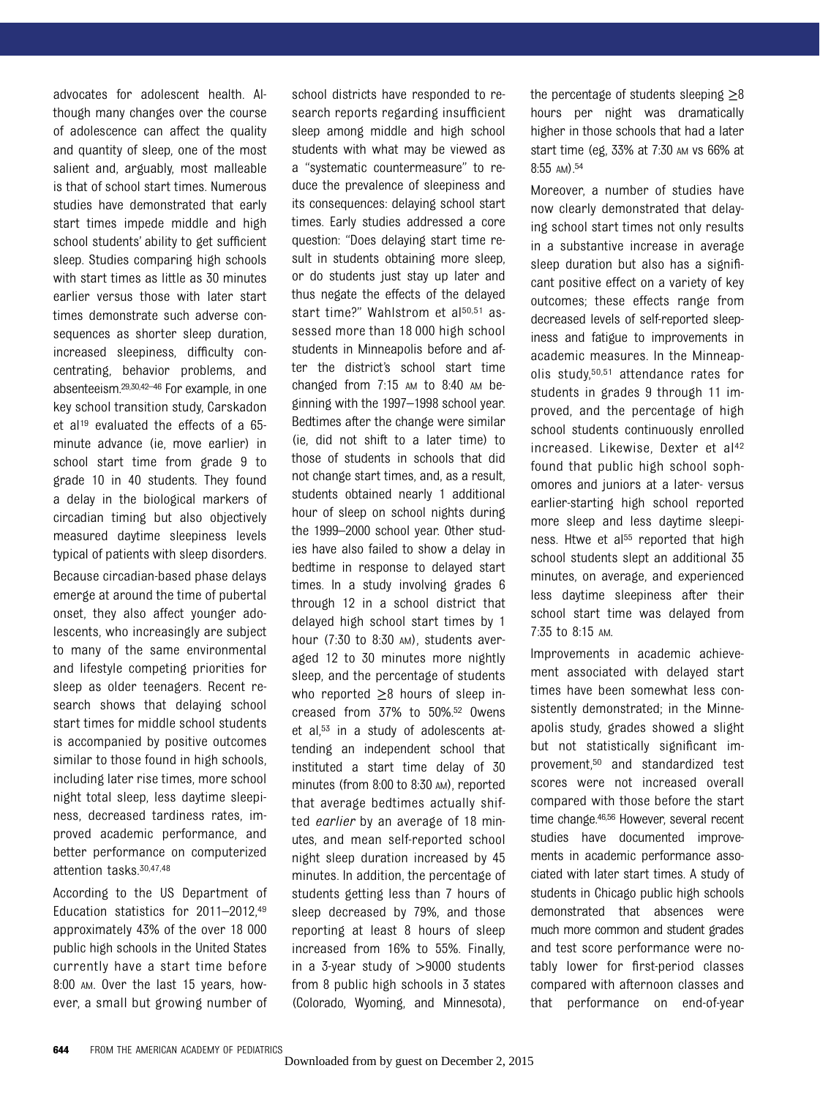advocates for adolescent health. Although many changes over the course of adolescence can affect the quality and quantity of sleep, one of the most salient and, arguably, most malleable is that of school start times. Numerous studies have demonstrated that early start times impede middle and high school students' ability to get sufficient sleep. Studies comparing high schools with start times as little as 30 minutes earlier versus those with later start times demonstrate such adverse consequences as shorter sleep duration, increased sleepiness, difficulty concentrating, behavior problems, and absenteeism.29,30,42–<sup>46</sup> For example, in one key school transition study, Carskadon et al19 evaluated the effects of a 65 minute advance (ie, move earlier) in school start time from grade 9 to grade 10 in 40 students. They found a delay in the biological markers of circadian timing but also objectively measured daytime sleepiness levels typical of patients with sleep disorders. Because circadian-based phase delays emerge at around the time of pubertal onset, they also affect younger adolescents, who increasingly are subject to many of the same environmental and lifestyle competing priorities for sleep as older teenagers. Recent research shows that delaying school start times for middle school students is accompanied by positive outcomes similar to those found in high schools, including later rise times, more school night total sleep, less daytime sleepiness, decreased tardiness rates, improved academic performance, and better performance on computerized attention tasks.30,47,48

According to the US Department of Education statistics for 2011–2012,49 approximately 43% of the over 18 000 public high schools in the United States currently have a start time before 8:00 AM. Over the last 15 years, however, a small but growing number of school districts have responded to research reports regarding insufficient sleep among middle and high school students with what may be viewed as a "systematic countermeasure" to reduce the prevalence of sleepiness and its consequences: delaying school start times. Early studies addressed a core question: "Does delaying start time result in students obtaining more sleep, or do students just stay up later and thus negate the effects of the delayed start time?" Wahlstrom et al<sup>50,51</sup> assessed more than 18 000 high school students in Minneapolis before and after the district's school start time changed from  $7:15$  am to  $8:40$  am beginning with the 1997–1998 school year. Bedtimes after the change were similar (ie, did not shift to a later time) to those of students in schools that did not change start times, and, as a result, students obtained nearly 1 additional hour of sleep on school nights during the 1999–2000 school year. Other studies have also failed to show a delay in bedtime in response to delayed start times. In a study involving grades 6 through 12 in a school district that delayed high school start times by 1 hour (7:30 to 8:30 AM), students averaged 12 to 30 minutes more nightly sleep, and the percentage of students who reported ≥8 hours of sleep increased from 37% to 50%.52 Owens et al,53 in a study of adolescents attending an independent school that instituted a start time delay of 30 minutes (from 8:00 to 8:30 AM), reported that average bedtimes actually shifted *earlier* by an average of 18 minutes, and mean self-reported school night sleep duration increased by 45 minutes. In addition, the percentage of students getting less than 7 hours of sleep decreased by 79%, and those reporting at least 8 hours of sleep increased from 16% to 55%. Finally, in a 3-year study of >9000 students from 8 public high schools in 3 states (Colorado, Wyoming, and Minnesota),

the percentage of students sleeping ≥8 hours per night was dramatically higher in those schools that had a later start time (eg, 33% at 7:30 AM vs 66% at 8:55 AM).54

Moreover, a number of studies have now clearly demonstrated that delaying school start times not only results in a substantive increase in average sleep duration but also has a significant positive effect on a variety of key outcomes; these effects range from decreased levels of self-reported sleepiness and fatigue to improvements in academic measures. In the Minneapolis study,50,51 attendance rates for students in grades 9 through 11 improved, and the percentage of high school students continuously enrolled increased. Likewise, Dexter et al<sup>42</sup> found that public high school sophomores and juniors at a later- versus earlier-starting high school reported more sleep and less daytime sleepiness. Htwe et al<sup>55</sup> reported that high school students slept an additional 35 minutes, on average, and experienced less daytime sleepiness after their school start time was delayed from 7:35 to 8:15 AM.

Improvements in academic achievement associated with delayed start times have been somewhat less consistently demonstrated; in the Minneapolis study, grades showed a slight but not statistically significant improvement,50 and standardized test scores were not increased overall compared with those before the start time change.46,56 However, several recent studies have documented improvements in academic performance associated with later start times. A study of students in Chicago public high schools demonstrated that absences were much more common and student grades and test score performance were notably lower for first-period classes compared with afternoon classes and that performance on end-of-year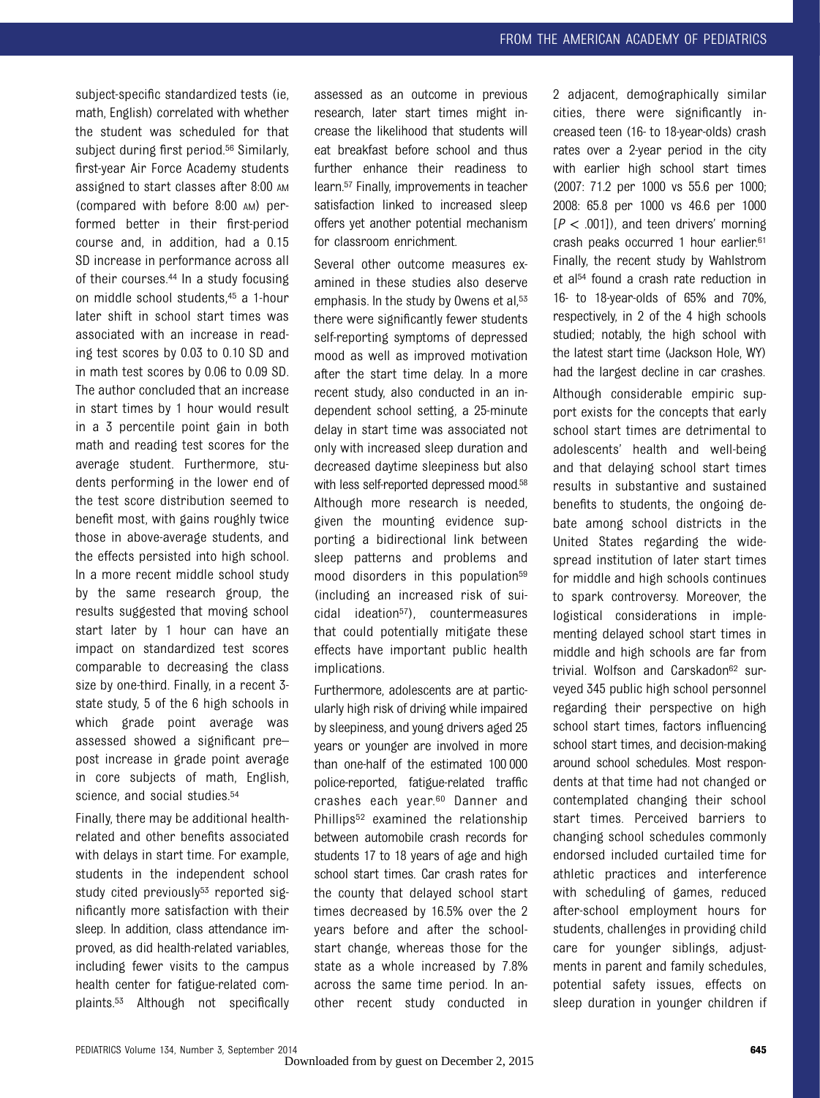subject-specific standardized tests (ie, math, English) correlated with whether the student was scheduled for that subject during first period.<sup>56</sup> Similarly, first-year Air Force Academy students assigned to start classes after 8:00 AM (compared with before 8:00 AM) performed better in their first-period course and, in addition, had a 0.15 SD increase in performance across all of their courses.44 In a study focusing on middle school students,45 a 1-hour later shift in school start times was associated with an increase in reading test scores by 0.03 to 0.10 SD and in math test scores by 0.06 to 0.09 SD. The author concluded that an increase in start times by 1 hour would result in a 3 percentile point gain in both math and reading test scores for the average student. Furthermore, students performing in the lower end of the test score distribution seemed to benefit most, with gains roughly twice those in above-average students, and the effects persisted into high school. In a more recent middle school study by the same research group, the results suggested that moving school start later by 1 hour can have an impact on standardized test scores comparable to decreasing the class size by one-third. Finally, in a recent 3 state study, 5 of the 6 high schools in which grade point average was assessed showed a significant pre– post increase in grade point average in core subjects of math, English, science, and social studies.<sup>54</sup>

Finally, there may be additional healthrelated and other benefits associated with delays in start time. For example, students in the independent school study cited previously $53$  reported significantly more satisfaction with their sleep. In addition, class attendance improved, as did health-related variables, including fewer visits to the campus health center for fatigue-related complaints.53 Although not specifically

assessed as an outcome in previous research, later start times might increase the likelihood that students will eat breakfast before school and thus further enhance their readiness to learn.57 Finally, improvements in teacher satisfaction linked to increased sleep offers yet another potential mechanism for classroom enrichment.

Several other outcome measures examined in these studies also deserve emphasis. In the study by Owens et al,<sup>53</sup> there were significantly fewer students self-reporting symptoms of depressed mood as well as improved motivation after the start time delay. In a more recent study, also conducted in an independent school setting, a 25-minute delay in start time was associated not only with increased sleep duration and decreased daytime sleepiness but also with less self-reported depressed mood.<sup>58</sup> Although more research is needed, given the mounting evidence supporting a bidirectional link between sleep patterns and problems and mood disorders in this population<sup>59</sup> (including an increased risk of suicidal ideation<sup>57</sup>), countermeasures that could potentially mitigate these effects have important public health implications.

Furthermore, adolescents are at particularly high risk of driving while impaired by sleepiness, and young drivers aged 25 years or younger are involved in more than one-half of the estimated 100 000 police-reported, fatigue-related traffic crashes each year.60 Danner and Phillips<sup>52</sup> examined the relationship between automobile crash records for students 17 to 18 years of age and high school start times. Car crash rates for the county that delayed school start times decreased by 16.5% over the 2 years before and after the schoolstart change, whereas those for the state as a whole increased by 7.8% across the same time period. In another recent study conducted in 2 adjacent, demographically similar cities, there were significantly increased teen (16- to 18-year-olds) crash rates over a 2-year period in the city with earlier high school start times (2007: 71.2 per 1000 vs 55.6 per 1000; 2008: 65.8 per 1000 vs 46.6 per 1000  $[P < .001]$ ), and teen drivers' morning crash peaks occurred 1 hour earlier.<sup>61</sup> Finally, the recent study by Wahlstrom et al54 found a crash rate reduction in 16- to 18-year-olds of 65% and 70%, respectively, in 2 of the 4 high schools studied; notably, the high school with the latest start time (Jackson Hole, WY) had the largest decline in car crashes.

Although considerable empiric support exists for the concepts that early school start times are detrimental to adolescents' health and well-being and that delaying school start times results in substantive and sustained benefits to students, the ongoing debate among school districts in the United States regarding the widespread institution of later start times for middle and high schools continues to spark controversy. Moreover, the logistical considerations in implementing delayed school start times in middle and high schools are far from trivial. Wolfson and Carskadon62 surveyed 345 public high school personnel regarding their perspective on high school start times, factors influencing school start times, and decision-making around school schedules. Most respondents at that time had not changed or contemplated changing their school start times. Perceived barriers to changing school schedules commonly endorsed included curtailed time for athletic practices and interference with scheduling of games, reduced after-school employment hours for students, challenges in providing child care for younger siblings, adjustments in parent and family schedules, potential safety issues, effects on sleep duration in younger children if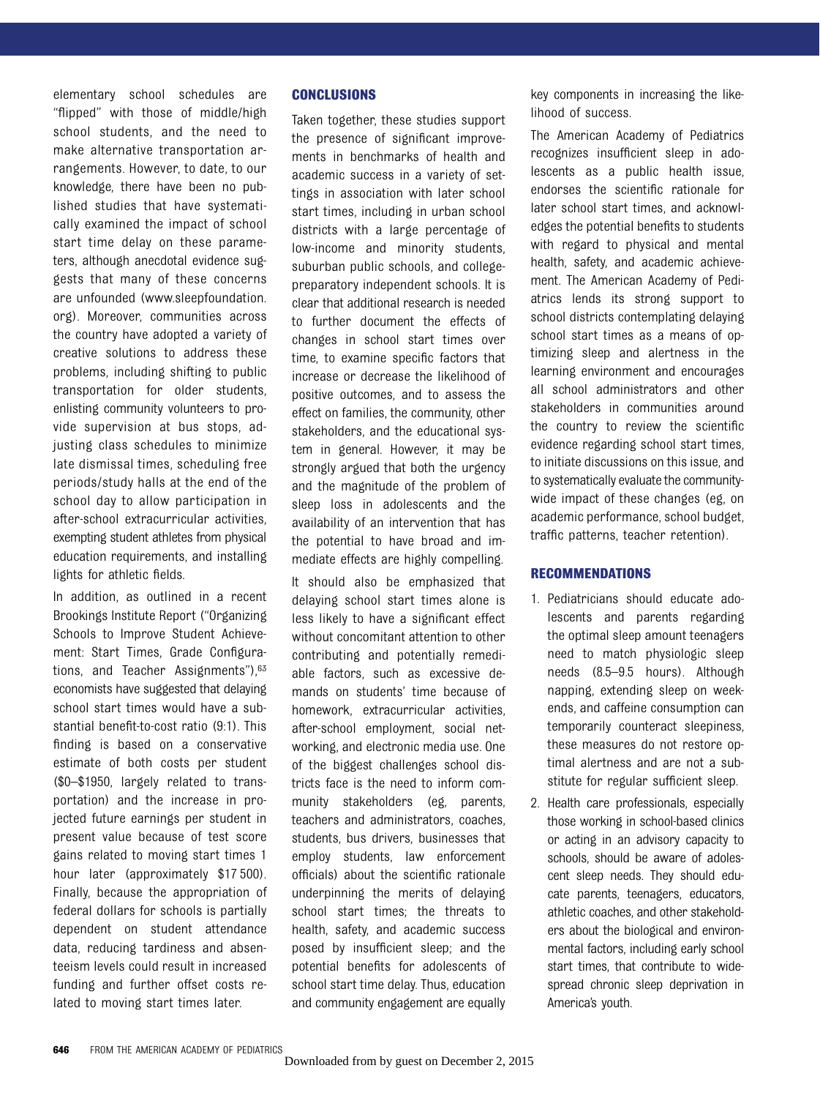elementary school schedules are "flipped" with those of middle/high school students, and the need to make alternative transportation arrangements. However, to date, to our knowledge, there have been no published studies that have systematically examined the impact of school start time delay on these parameters, although anecdotal evidence suggests that many of these concerns are unfounded [\(www.sleepfoundation.](www.sleepfoundation.org) [org](www.sleepfoundation.org)). Moreover, communities across the country have adopted a variety of creative solutions to address these problems, including shifting to public transportation for older students, enlisting community volunteers to provide supervision at bus stops, adjusting class schedules to minimize late dismissal times, scheduling free periods/study halls at the end of the school day to allow participation in after-school extracurricular activities, exempting student athletes from physical education requirements, and installing lights for athletic fields.

In addition, as outlined in a recent Brookings Institute Report ("Organizing Schools to Improve Student Achievement: Start Times, Grade Configurations, and Teacher Assignments"),63 economists have suggested that delaying school start times would have a substantial benefit-to-cost ratio (9:1). This finding is based on a conservative estimate of both costs per student (\$0–\$1950, largely related to transportation) and the increase in projected future earnings per student in present value because of test score gains related to moving start times 1 hour later (approximately \$17 500). Finally, because the appropriation of federal dollars for schools is partially dependent on student attendance data, reducing tardiness and absenteeism levels could result in increased funding and further offset costs related to moving start times later.

## **CONCLUSIONS**

Taken together, these studies support the presence of significant improvements in benchmarks of health and academic success in a variety of settings in association with later school start times, including in urban school districts with a large percentage of low-income and minority students, suburban public schools, and collegepreparatory independent schools. It is clear that additional research is needed to further document the effects of changes in school start times over time, to examine specific factors that increase or decrease the likelihood of positive outcomes, and to assess the effect on families, the community, other stakeholders, and the educational system in general. However, it may be strongly argued that both the urgency and the magnitude of the problem of sleep loss in adolescents and the availability of an intervention that has the potential to have broad and immediate effects are highly compelling.

It should also be emphasized that delaying school start times alone is less likely to have a significant effect without concomitant attention to other contributing and potentially remediable factors, such as excessive demands on students' time because of homework, extracurricular activities, after-school employment, social networking, and electronic media use. One of the biggest challenges school districts face is the need to inform community stakeholders (eg, parents, teachers and administrators, coaches, students, bus drivers, businesses that employ students, law enforcement officials) about the scientific rationale underpinning the merits of delaying school start times; the threats to health, safety, and academic success posed by insufficient sleep; and the potential benefits for adolescents of school start time delay. Thus, education and community engagement are equally

key components in increasing the likelihood of success.

The American Academy of Pediatrics recognizes insufficient sleep in adolescents as a public health issue, endorses the scientific rationale for later school start times, and acknowledges the potential benefits to students with regard to physical and mental health, safety, and academic achievement. The American Academy of Pediatrics lends its strong support to school districts contemplating delaying school start times as a means of optimizing sleep and alertness in the learning environment and encourages all school administrators and other stakeholders in communities around the country to review the scientific evidence regarding school start times, to initiate discussions on this issue, and to systematically evaluate the communitywide impact of these changes (eg, on academic performance, school budget, traffic patterns, teacher retention).

# RECOMMENDATIONS

- 1. Pediatricians should educate adolescents and parents regarding the optimal sleep amount teenagers need to match physiologic sleep needs (8.5–9.5 hours). Although napping, extending sleep on weekends, and caffeine consumption can temporarily counteract sleepiness, these measures do not restore optimal alertness and are not a substitute for regular sufficient sleep.
- 2. Health care professionals, especially those working in school-based clinics or acting in an advisory capacity to schools, should be aware of adolescent sleep needs. They should educate parents, teenagers, educators, athletic coaches, and other stakeholders about the biological and environmental factors, including early school start times, that contribute to widespread chronic sleep deprivation in America's youth.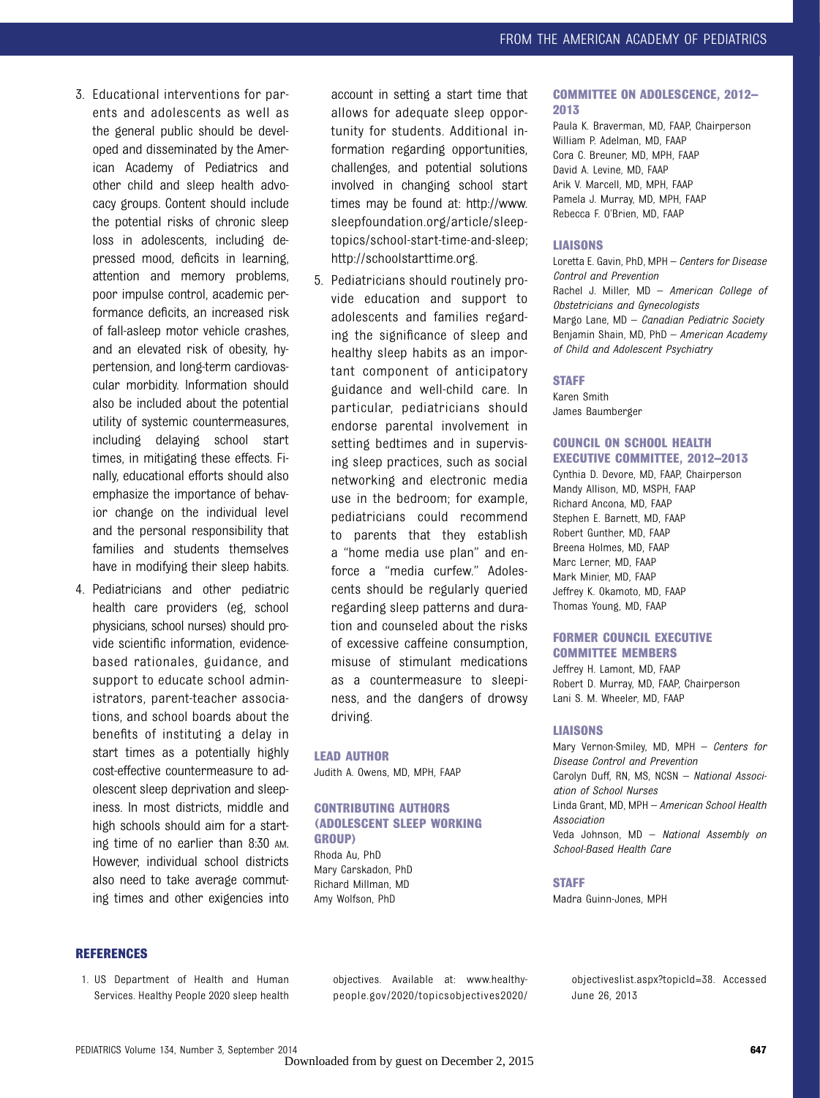- 3. Educational interventions for parents and adolescents as well as the general public should be developed and disseminated by the American Academy of Pediatrics and other child and sleep health advocacy groups. Content should include the potential risks of chronic sleep loss in adolescents, including depressed mood, deficits in learning, attention and memory problems, poor impulse control, academic performance deficits, an increased risk of fall-asleep motor vehicle crashes, and an elevated risk of obesity, hypertension, and long-term cardiovascular morbidity. Information should also be included about the potential utility of systemic countermeasures, including delaying school start times, in mitigating these effects. Finally, educational efforts should also emphasize the importance of behavior change on the individual level and the personal responsibility that families and students themselves have in modifying their sleep habits.
- 4. Pediatricians and other pediatric health care providers (eg, school physicians, school nurses) should provide scientific information, evidencebased rationales, guidance, and support to educate school administrators, parent-teacher associations, and school boards about the benefits of instituting a delay in start times as a potentially highly cost-effective countermeasure to adolescent sleep deprivation and sleepiness. In most districts, middle and high schools should aim for a starting time of no earlier than 8:30 AM. However, individual school districts also need to take average commuting times and other exigencies into

account in setting a start time that allows for adequate sleep opportunity for students. Additional information regarding opportunities, challenges, and potential solutions involved in changing school start times may be found at: [http://www.](http://www.sleepfoundation.org/article/sleep-topics/school-start-time-and-sleep) [sleepfoundation.org/article/sleep](http://www.sleepfoundation.org/article/sleep-topics/school-start-time-and-sleep)[topics/school-start-time-and-sleep;](http://www.sleepfoundation.org/article/sleep-topics/school-start-time-and-sleep) <http://schoolstarttime.org>.

5. Pediatricians should routinely provide education and support to adolescents and families regarding the significance of sleep and healthy sleep habits as an important component of anticipatory guidance and well-child care. In particular, pediatricians should endorse parental involvement in setting bedtimes and in supervising sleep practices, such as social networking and electronic media use in the bedroom; for example, pediatricians could recommend to parents that they establish a "home media use plan" and enforce a "media curfew." Adolescents should be regularly queried regarding sleep patterns and duration and counseled about the risks of excessive caffeine consumption, misuse of stimulant medications as a countermeasure to sleepiness, and the dangers of drowsy driving.

#### LEAD AUTHOR

Judith A. Owens, MD, MPH, FAAP

#### CONTRIBUTING AUTHORS (ADOLESCENT SLEEP WORKING GROUP)

Rhoda Au, PhD Mary Carskadon, PhD Richard Millman, MD Amy Wolfson, PhD

#### COMMITTEE ON ADOLESCENCE, 2012– 2013

Paula K. Braverman, MD, FAAP, Chairperson William P. Adelman, MD, FAAP Cora C. Breuner, MD, MPH, FAAP David A. Levine, MD, FAAP Arik V. Marcell, MD, MPH, FAAP Pamela J. Murray, MD, MPH, FAAP Rebecca F. O'Brien, MD, FAAP

#### LIAISONS

Loretta E. Gavin, PhD, MPH – Centers for Disease Control and Prevention Rachel J. Miller, MD – American College of Obstetricians and Gynecologists Margo Lane, MD - Canadian Pediatric Society Benjamin Shain, MD, PhD – American Academy of Child and Adolescent Psychiatry

#### **STAFF**

Karen Smith James Baumberger

#### COUNCIL ON SCHOOL HEALTH EXECUTIVE COMMITTEE, 2012–2013

Cynthia D. Devore, MD, FAAP, Chairperson Mandy Allison, MD, MSPH, FAAP Richard Ancona, MD, FAAP Stephen E. Barnett, MD, FAAP Robert Gunther, MD, FAAP Breena Holmes, MD, FAAP Marc Lerner, MD, FAAP Mark Minier, MD, FAAP Jeffrey K. Okamoto, MD, FAAP Thomas Young, MD, FAAP

#### FORMER COUNCIL EXECUTIVE COMMITTEE MEMBERS

Jeffrey H. Lamont, MD, FAAP Robert D. Murray, MD, FAAP, Chairperson Lani S. M. Wheeler, MD, FAAP

#### LIAISONS

Mary Vernon-Smiley, MD, MPH - Centers for Disease Control and Prevention Carolyn Duff, RN, MS, NCSN – National Association of School Nurses Linda Grant, MD, MPH – American School Health Association Veda Johnson, MD – National Assembly on School-Based Health Care

#### **STAFF**

Madra Guinn-Jones, MPH

#### **REFERENCES**

1. US Department of Health and Human Services. Healthy People 2020 sleep health objectives. Available at: [www.healthy](www.healthypeople.gov/2020/topicsobjectives2020/objectiveslist.aspx?topicId=38)[people.gov/2020/topicsobjectives2020/](www.healthypeople.gov/2020/topicsobjectives2020/objectiveslist.aspx?topicId=38) [objectiveslist.aspx?topicId=38.](www.healthypeople.gov/2020/topicsobjectives2020/objectiveslist.aspx?topicId=38) Accessed June 26, 2013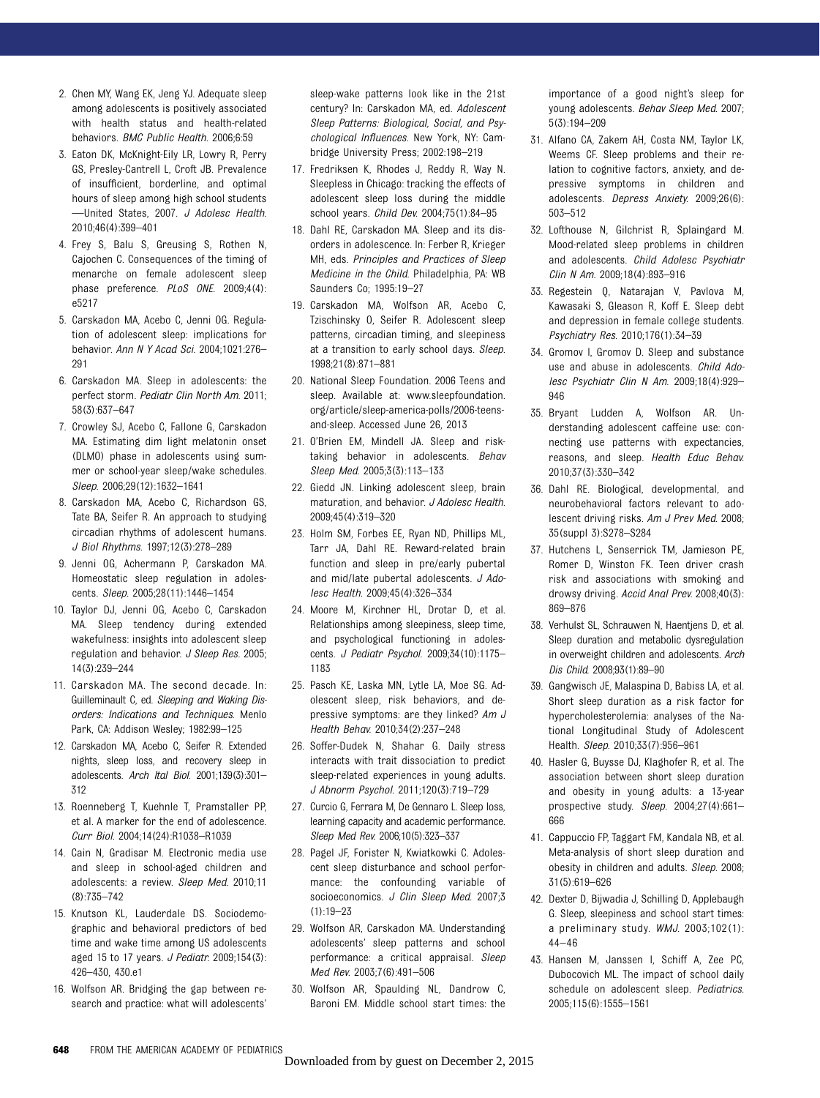- 2. Chen MY, Wang EK, Jeng YJ. Adequate sleep among adolescents is positively associated with health status and health-related behaviors. BMC Public Health. 2006;6:59
- 3. Eaton DK, McKnight-Eily LR, Lowry R, Perry GS, Presley-Cantrell L, Croft JB. Prevalence of insufficient, borderline, and optimal hours of sleep among high school students -United States, 2007. J Adolesc Health. 2010;46(4):399–401
- 4. Frey S, Balu S, Greusing S, Rothen N, Cajochen C. Consequences of the timing of menarche on female adolescent sleep phase preference. PLoS ONE. 2009;4(4): e5217
- 5. Carskadon MA, Acebo C, Jenni OG. Regulation of adolescent sleep: implications for behavior. Ann N Y Acad Sci. 2004;1021:276– 291
- 6. Carskadon MA. Sleep in adolescents: the perfect storm. Pediatr Clin North Am. 2011; 58(3):637–647
- 7. Crowley SJ, Acebo C, Fallone G, Carskadon MA. Estimating dim light melatonin onset (DLMO) phase in adolescents using summer or school-year sleep/wake schedules. Sleep. 2006;29(12):1632–1641
- 8. Carskadon MA, Acebo C, Richardson GS, Tate BA, Seifer R. An approach to studying circadian rhythms of adolescent humans. J Biol Rhythms. 1997;12(3):278–289
- 9. Jenni OG, Achermann P, Carskadon MA. Homeostatic sleep regulation in adolescents. Sleep. 2005;28(11):1446–1454
- 10. Taylor DJ, Jenni OG, Acebo C, Carskadon MA. Sleep tendency during extended wakefulness: insights into adolescent sleep regulation and behavior. J Sleep Res. 2005; 14(3):239–244
- 11. Carskadon MA. The second decade. In: Guilleminault C, ed. Sleeping and Waking Disorders: Indications and Techniques. Menlo Park, CA: Addison Wesley; 1982:99–125
- 12. Carskadon MA, Acebo C, Seifer R. Extended nights, sleep loss, and recovery sleep in adolescents. Arch Ital Biol. 2001;139(3):301– 312
- 13. Roenneberg T, Kuehnle T, Pramstaller PP, et al. A marker for the end of adolescence. Curr Biol. 2004;14(24):R1038–R1039
- 14. Cain N, Gradisar M. Electronic media use and sleep in school-aged children and adolescents: a review. Sleep Med. 2010;11 (8):735–742
- 15. Knutson KL, Lauderdale DS. Sociodemographic and behavioral predictors of bed time and wake time among US adolescents aged 15 to 17 years. *J Pediatr*: 2009;154(3): 426–430, 430.e1
- 16. Wolfson AR. Bridging the gap between research and practice: what will adolescents'

sleep-wake patterns look like in the 21st century? In: Carskadon MA, ed. Adolescent Sleep Patterns: Biological, Social, and Psychological Influences. New York, NY: Cambridge University Press; 2002:198–219

- 17. Fredriksen K, Rhodes J, Reddy R, Way N. Sleepless in Chicago: tracking the effects of adolescent sleep loss during the middle school years. Child Dev. 2004;75(1):84–95
- 18. Dahl RE, Carskadon MA. Sleep and its disorders in adolescence. In: Ferber R, Krieger MH, eds. Principles and Practices of Sleep Medicine in the Child. Philadelphia, PA: WB Saunders Co; 1995:19–27
- 19. Carskadon MA, Wolfson AR, Acebo C, Tzischinsky O, Seifer R. Adolescent sleep patterns, circadian timing, and sleepiness at a transition to early school days. Sleep. 1998;21(8):871–881
- 20. National Sleep Foundation. 2006 Teens and sleep. Available at: [www.sleepfoundation.](www.sleepfoundation.org/article/sleep-america-polls/2006-teens-and-sleep) [org/article/sleep-america-polls/2006-teens](www.sleepfoundation.org/article/sleep-america-polls/2006-teens-and-sleep)[and-sleep.](www.sleepfoundation.org/article/sleep-america-polls/2006-teens-and-sleep) Accessed June 26, 2013
- 21. O'Brien EM, Mindell JA. Sleep and risktaking behavior in adolescents. Behav Sleep Med. 2005;3(3):113–133
- 22. Giedd JN. Linking adolescent sleep, brain maturation, and behavior. J Adolesc Health. 2009;45(4):319–320
- 23. Holm SM, Forbes EE, Ryan ND, Phillips ML, Tarr JA, Dahl RE. Reward-related brain function and sleep in pre/early pubertal and mid/late pubertal adolescents. J Adolesc Health. 2009;45(4):326–334
- 24. Moore M, Kirchner HL, Drotar D, et al. Relationships among sleepiness, sleep time, and psychological functioning in adolescents. J Pediatr Psychol. 2009;34(10):1175– 1183
- 25. Pasch KE, Laska MN, Lytle LA, Moe SG. Adolescent sleep, risk behaviors, and depressive symptoms: are they linked? Am J Health Behav. 2010;34(2):237–248
- 26. Soffer-Dudek N, Shahar G. Daily stress interacts with trait dissociation to predict sleep-related experiences in young adults. J Abnorm Psychol. 2011;120(3):719–729
- 27. Curcio G, Ferrara M, De Gennaro L. Sleep loss, learning capacity and academic performance. Sleep Med Rev. 2006;10(5):323–337
- 28. Pagel JF, Forister N, Kwiatkowki C. Adolescent sleep disturbance and school performance: the confounding variable of socioeconomics. J Clin Sleep Med. 2007;3 (1):19–23
- 29. Wolfson AR, Carskadon MA. Understanding adolescents' sleep patterns and school performance: a critical appraisal. Sleep Med Rev. 2003;7(6):491–506
- 30. Wolfson AR, Spaulding NL, Dandrow C, Baroni EM. Middle school start times: the

importance of a good night's sleep for young adolescents. Behav Sleep Med. 2007; 5(3):194–209

- 31. Alfano CA, Zakem AH, Costa NM, Taylor LK, Weems CF. Sleep problems and their relation to cognitive factors, anxiety, and depressive symptoms in children and adolescents. Depress Anxiety. 2009;26(6): 503–512
- 32. Lofthouse N, Gilchrist R, Splaingard M. Mood-related sleep problems in children and adolescents. Child Adolesc Psychiatr Clin N Am. 2009;18(4):893–916
- 33. Regestein Q, Natarajan V, Pavlova M, Kawasaki S, Gleason R, Koff E. Sleep debt and depression in female college students. Psychiatry Res. 2010;176(1):34–39
- 34. Gromov I, Gromov D. Sleep and substance use and abuse in adolescents. Child Adolesc Psychiatr Clin N Am. 2009;18(4):929– 946
- 35. Bryant Ludden A, Wolfson AR. Understanding adolescent caffeine use: connecting use patterns with expectancies, reasons, and sleep. Health Educ Behav. 2010;37(3):330–342
- 36. Dahl RE. Biological, developmental, and neurobehavioral factors relevant to adolescent driving risks. Am J Prev Med. 2008; 35(suppl 3):S278–S284
- 37. Hutchens L, Senserrick TM, Jamieson PE, Romer D, Winston FK. Teen driver crash risk and associations with smoking and drowsy driving. Accid Anal Prev. 2008;40(3): 869–876
- 38. Verhulst SL, Schrauwen N, Haentjens D, et al. Sleep duration and metabolic dysregulation in overweight children and adolescents. Arch Dis Child. 2008;93(1):89–90
- 39. Gangwisch JE, Malaspina D, Babiss LA, et al. Short sleep duration as a risk factor for hypercholesterolemia: analyses of the National Longitudinal Study of Adolescent Health. Sleep. 2010;33(7):956–961
- 40. Hasler G, Buysse DJ, Klaghofer R, et al. The association between short sleep duration and obesity in young adults: a 13-year prospective study. Sleep. 2004;27(4):661– 666
- 41. Cappuccio FP, Taggart FM, Kandala NB, et al. Meta-analysis of short sleep duration and obesity in children and adults. Sleep. 2008; 31(5):619–626
- 42. Dexter D, Bijwadia J, Schilling D, Applebaugh G. Sleep, sleepiness and school start times: a preliminary study. WMJ. 2003;102(1): 44–46
- 43. Hansen M, Janssen I, Schiff A, Zee PC, Dubocovich ML. The impact of school daily schedule on adolescent sleep. Pediatrics. 2005;115(6):1555–1561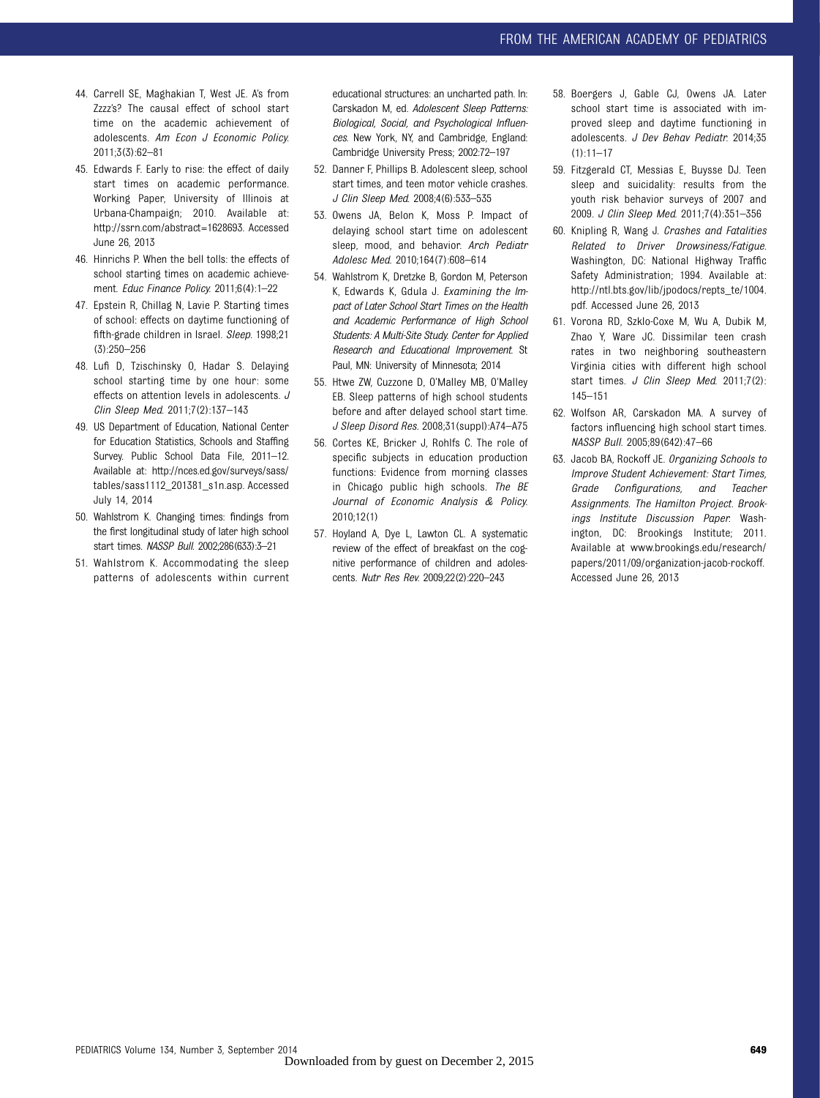- 44. Carrell SE, Maghakian T, West JE. A's from Zzzz's? The causal effect of school start time on the academic achievement of adolescents. Am Econ J Economic Policy. 2011;3(3):62–81
- 45. Edwards F. Early to rise: the effect of daily start times on academic performance. Working Paper, University of Illinois at Urbana-Champaign; 2010. Available at: [http://ssrn.com/abstract=1628693.](http://ssrn.com/abstract=1628693) Accessed June 26, 2013
- 46. Hinrichs P. When the bell tolls: the effects of school starting times on academic achievement. Educ Finance Policy. 2011;6(4):1–22
- 47. Epstein R, Chillag N, Lavie P. Starting times of school: effects on daytime functioning of fifth-grade children in Israel. Sleep. 1998;21 (3):250–256
- 48. Lufi D, Tzischinsky O, Hadar S. Delaying school starting time by one hour: some effects on attention levels in adolescents. J Clin Sleep Med. 2011;7(2):137–143
- 49. US Department of Education, National Center for Education Statistics, Schools and Staffing Survey. Public School Data File, 2011–12. Available at: [http://nces.ed.gov/surveys/sass/](http://nces.ed.gov/surveys/sass/tables/sass1112_201381_s1n.asp) [tables/sass1112\\_201381\\_s1n.asp.](http://nces.ed.gov/surveys/sass/tables/sass1112_201381_s1n.asp) Accessed July 14, 2014
- 50. Wahlstrom K. Changing times: findings from the first longitudinal study of later high school start times. NASSP Bull. 2002;286(633):3–21
- 51. Wahlstrom K. Accommodating the sleep patterns of adolescents within current

educational structures: an uncharted path. In: Carskadon M, ed. Adolescent Sleep Patterns: Biological, Social, and Psychological Influences. New York, NY, and Cambridge, England: Cambridge University Press; 2002:72–197

- 52. Danner F, Phillips B. Adolescent sleep, school start times, and teen motor vehicle crashes. J Clin Sleep Med. 2008;4(6):533–535
- 53. Owens JA, Belon K, Moss P. Impact of delaying school start time on adolescent sleep, mood, and behavior. Arch Pediatr Adolesc Med. 2010;164(7):608–614
- 54. Wahlstrom K, Dretzke B, Gordon M, Peterson K, Edwards K, Gdula J. Examining the Impact of Later School Start Times on the Health and Academic Performance of High School Students: A Multi-Site Study. Center for Applied Research and Educational Improvement. St Paul, MN: University of Minnesota; 2014
- 55. Htwe ZW, Cuzzone D, O'Malley MB, O'Malley EB. Sleep patterns of high school students before and after delayed school start time. J Sleep Disord Res. 2008;31(suppl):A74–A75
- 56. Cortes KE, Bricker J, Rohlfs C. The role of specific subjects in education production functions: Evidence from morning classes in Chicago public high schools. The BE Journal of Economic Analysis & Policy. 2010;12(1)
- 57. Hoyland A, Dye L, Lawton CL. A systematic review of the effect of breakfast on the cognitive performance of children and adolescents. Nutr Res Rev. 2009;22(2):220–243
- 58. Boergers J, Gable CJ, Owens JA. Later school start time is associated with improved sleep and daytime functioning in adolescents. J Dev Behav Pediatr. 2014;35  $(1):11-17$
- 59. Fitzgerald CT, Messias E, Buysse DJ. Teen sleep and suicidality: results from the youth risk behavior surveys of 2007 and 2009. J Clin Sleep Med. 2011;7(4):351–356
- 60. Knipling R, Wang J. Crashes and Fatalities Related to Driver Drowsiness/Fatigue. Washington, DC: National Highway Traffic Safety Administration; 1994. Available at: [http://ntl.bts.gov/lib/jpodocs/repts\\_te/1004.](http://ntl.bts.gov/lib/jpodocs/repts_te/1004.pdf) [pdf.](http://ntl.bts.gov/lib/jpodocs/repts_te/1004.pdf) Accessed June 26, 2013
- 61. Vorona RD, Szklo-Coxe M, Wu A, Dubik M, Zhao Y, Ware JC. Dissimilar teen crash rates in two neighboring southeastern Virginia cities with different high school start times. J Clin Sleep Med. 2011;7(2): 145–151
- 62. Wolfson AR, Carskadon MA. A survey of factors influencing high school start times. NASSP Bull. 2005;89(642):47–66
- 63. Jacob BA, Rockoff JE. Organizing Schools to Improve Student Achievement: Start Times, Grade Configurations, and Teacher Assignments. The Hamilton Project. Brookings Institute Discussion Paper. Washington, DC: Brookings Institute; 2011. Available at [www.brookings.edu/research/](www.brookings.edu/research/papers/2011/09/organization-jacob-rockoff) [papers/2011/09/organization-jacob-rockoff.](www.brookings.edu/research/papers/2011/09/organization-jacob-rockoff) Accessed June 26, 2013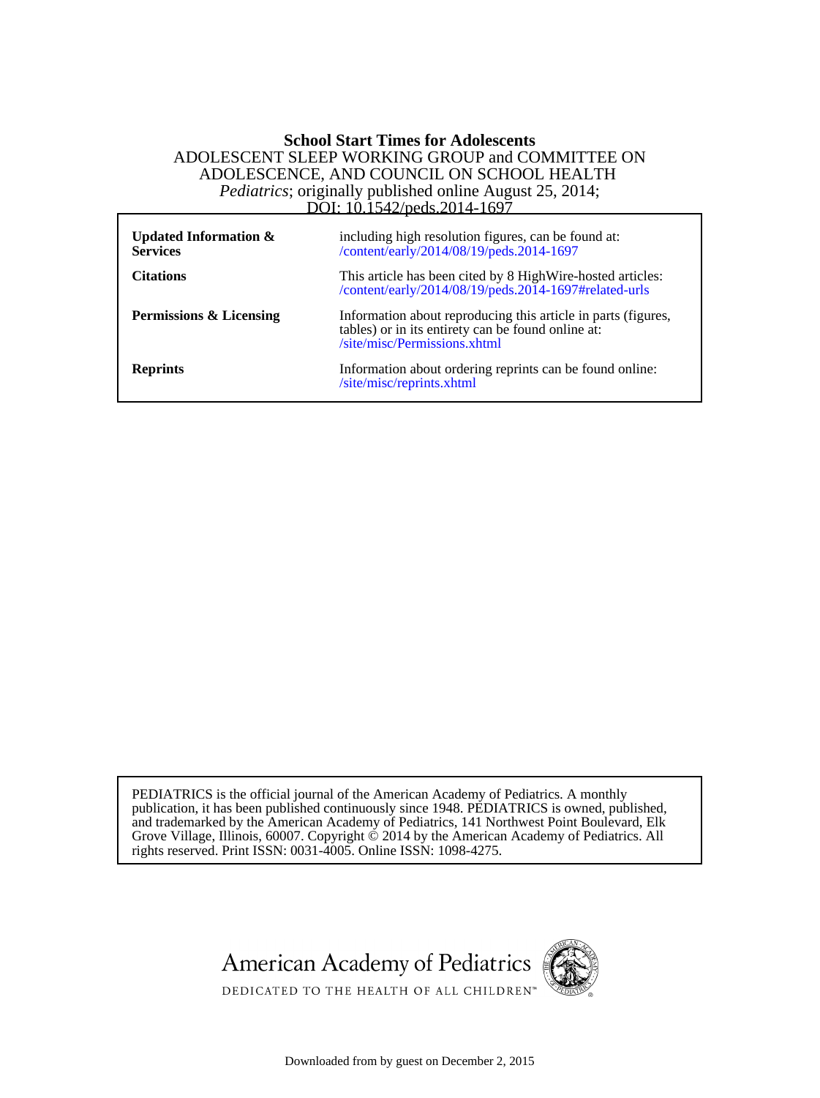# DOI: 10.1542/peds.2014-1697 *Pediatrics*; originally published online August 25, 2014; ADOLESCENCE, AND COUNCIL ON SCHOOL HEALTH ADOLESCENT SLEEP WORKING GROUP and COMMITTEE ON **School Start Times for Adolescents**

| <b>Updated Information &amp;</b><br><b>Services</b> | including high resolution figures, can be found at:<br>/content/early/2014/08/19/peds.2014-1697                                                     |
|-----------------------------------------------------|-----------------------------------------------------------------------------------------------------------------------------------------------------|
| <b>Citations</b>                                    | This article has been cited by 8 High Wire-hosted articles:<br>/content/early/2014/08/19/peds.2014-1697#related-urls                                |
| <b>Permissions &amp; Licensing</b>                  | Information about reproducing this article in parts (figures,<br>tables) or in its entirety can be found online at:<br>/site/misc/Permissions.xhtml |
| <b>Reprints</b>                                     | Information about ordering reprints can be found online:<br>/site/misc/reprints.xhtml                                                               |

rights reserved. Print ISSN: 0031-4005. Online ISSN: 1098-4275. Grove Village, Illinois, 60007. Copyright © 2014 by the American Academy of Pediatrics. All and trademarked by the American Academy of Pediatrics, 141 Northwest Point Boulevard, Elk publication, it has been published continuously since 1948. PEDIATRICS is owned, published, PEDIATRICS is the official journal of the American Academy of Pediatrics. A monthly





DEDICATED TO THE HEALTH OF ALL CHILDREN<sup>™</sup>